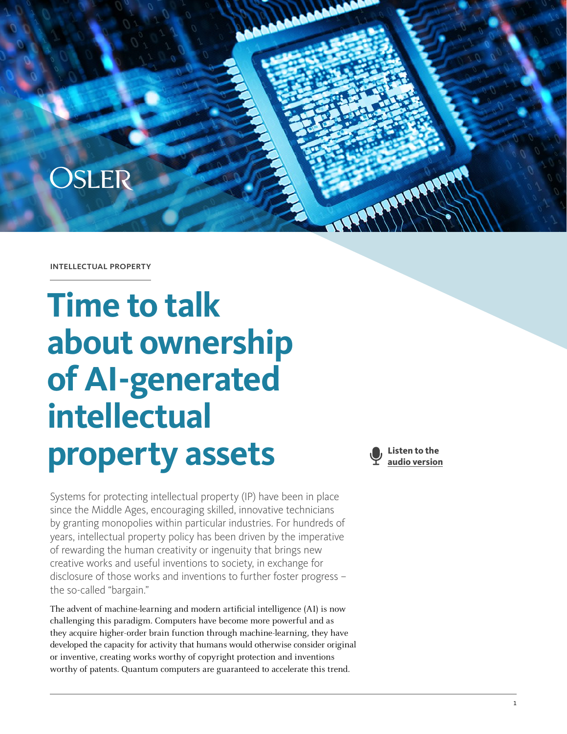

intellectual property

# **Time to talk about ownership of AI-generated intellectual property assets**

Systems for protecting intellectual property (IP) have been in place since the Middle Ages, encouraging skilled, innovative technicians by granting monopolies within particular industries. For hundreds of years, intellectual property policy has been driven by the imperative of rewarding the human creativity or ingenuity that brings new creative works and useful inventions to society, in exchange for disclosure of those works and inventions to further foster progress – the so-called "bargain."

The advent of machine-learning and modern artificial intelligence (AI) is now challenging this paradigm. Computers have become more powerful and as they acquire higher-order brain function through machine-learning, they have developed the capacity for activity that humans would otherwise consider original or inventive, creating works worthy of copyright protection and inventions worthy of patents. Quantum computers are guaranteed to accelerate this trend.

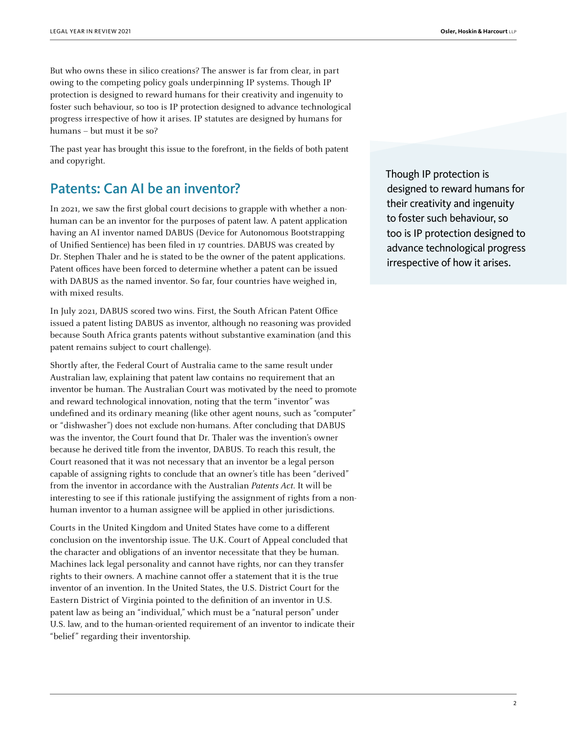But who owns these in silico creations? The answer is far from clear, in part owing to the competing policy goals underpinning IP systems. Though IP protection is designed to reward humans for their creativity and ingenuity to foster such behaviour, so too is IP protection designed to advance technological progress irrespective of how it arises. IP statutes are designed by humans for humans – but must it be so?

The past year has brought this issue to the forefront, in the fields of both patent and copyright.

### Patents: Can AI be an inventor?

In 2021, we saw the first global court decisions to grapple with whether a nonhuman can be an inventor for the purposes of patent law. A patent application having an AI inventor named DABUS (Device for Autonomous Bootstrapping of Unified Sentience) has been filed in 17 countries. DABUS was created by Dr. Stephen Thaler and he is stated to be the owner of the patent applications. Patent offices have been forced to determine whether a patent can be issued with DABUS as the named inventor. So far, four countries have weighed in, with mixed results.

In July 2021, DABUS scored two wins. First, the South African Patent Office issued a patent listing DABUS as inventor, although no reasoning was provided because South Africa grants patents without substantive examination (and this patent remains subject to court challenge).

Shortly after, the Federal Court of Australia came to the same result under Australian law, explaining that patent law contains no requirement that an inventor be human. The Australian Court was motivated by the need to promote and reward technological innovation, noting that the term "inventor" was undefined and its ordinary meaning (like other agent nouns, such as "computer" or "dishwasher") does not exclude non-humans. After concluding that DABUS was the inventor, the Court found that Dr. Thaler was the invention's owner because he derived title from the inventor, DABUS. To reach this result, the Court reasoned that it was not necessary that an inventor be a legal person capable of assigning rights to conclude that an owner's title has been "derived" from the inventor in accordance with the Australian Patents Act. It will be interesting to see if this rationale justifying the assignment of rights from a nonhuman inventor to a human assignee will be applied in other jurisdictions.

Courts in the United Kingdom and United States have come to a different conclusion on the inventorship issue. The U.K. Court of Appeal concluded that the character and obligations of an inventor necessitate that they be human. Machines lack legal personality and cannot have rights, nor can they transfer rights to their owners. A machine cannot offer a statement that it is the true inventor of an invention. In the United States, the U.S. District Court for the Eastern District of Virginia pointed to the definition of an inventor in U.S. patent law as being an "individual," which must be a "natural person" under U.S. law, and to the human-oriented requirement of an inventor to indicate their "belief" regarding their inventorship.

Though IP protection is designed to reward humans for their creativity and ingenuity to foster such behaviour, so too is IP protection designed to advance technological progress irrespective of how it arises.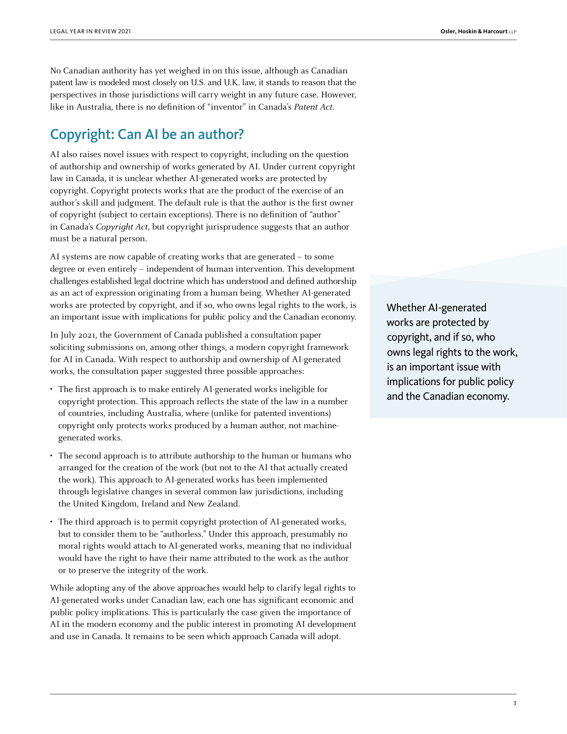No Canadian authority has yet weighed in on this issue, although as Canadian patent law is modeled most closely on U.S. and U.K. law, it stands to reason that the perspectives in those jurisdictions will carry weight in any future case. However, like in Australia, there is no definition of "inventor" in Canada's Patent Act.

### Copyright: Can AI be an author?

AI also raises novel issues with respect to copyright, including on the question of authorship and ownership of works generated by AI. Under current copyright law in Canada, it is unclear whether AI-generated works are protected by copyright. Copyright protects works that are the product of the exercise of an author's skill and judgment. The default rule is that the author is the first owner of copyright (subject to certain exceptions). There is no definition of "author" in Canada's Copyright Act, but copyright jurisprudence suggests that an author must be a natural person.

AI systems are now capable of creating works that are generated – to some degree or even entirely – independent of human intervention. This development challenges established legal doctrine which has understood and defined authorship as an act of expression originating from a human being. Whether AI-generated works are protected by copyright, and if so, who owns legal rights to the work, is an important issue with implications for public policy and the Canadian economy.

In July 2021, the Government of Canada published a consultation paper soliciting submissions on, among other things, a modern copyright framework for AI in Canada. With respect to authorship and ownership of AI-generated works, the consultation paper suggested three possible approaches:

- The first approach is to make entirely AI-generated works ineligible for copyright protection. This approach reflects the state of the law in a number of countries, including Australia, where (unlike for patented inventions) copyright only protects works produced by a human author, not machinegenerated works.
- The second approach is to attribute authorship to the human or humans who arranged for the creation of the work (but not to the AI that actually created the work). This approach to AI-generated works has been implemented through legislative changes in several common law jurisdictions, including the United Kingdom, Ireland and New Zealand.
- The third approach is to permit copyright protection of AI-generated works, but to consider them to be "authorless." Under this approach, presumably no moral rights would attach to AI-generated works, meaning that no individual would have the right to have their name attributed to the work as the author or to preserve the integrity of the work.

While adopting any of the above approaches would help to clarify legal rights to AI-generated works under Canadian law, each one has significant economic and public policy implications. This is particularly the case given the importance of AI in the modern economy and the public interest in promoting AI development and use in Canada. It remains to be seen which approach Canada will adopt.

Whether AI-generated works are protected by copyright, and if so, who owns legal rights to the work, is an important issue with implications for public policy and the Canadian economy.